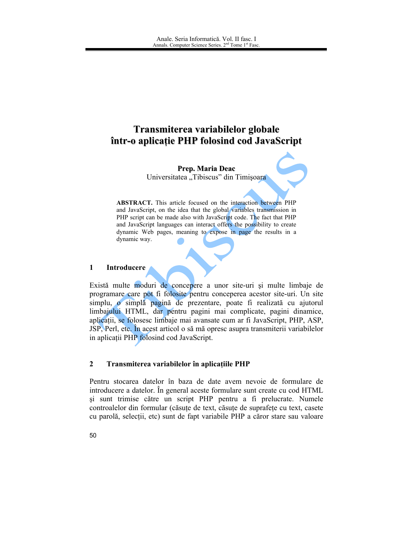# Transmiterea variabilelor globale într-o aplicație PHP folosind cod JavaScript

Prep. Maria Deac Universitatea "Tibiscus" din Timișoara

**ABSTRACT.** This article focused on the interaction between PHP and JavaScript, on the idea that the global variables transmission in PHP script can be made also with JavaScript code. The fact that PHP and JavaScript languages can interact offers the possibility to create dynamic Web pages, meaning to expose in page the results in a dynamic way.

#### $\mathbf{1}$ **Introducere**

Există multe moduri de concepere a unor site-uri și multe limbaje de programare care pot fi folosite pentru conceperea acestor site-uri. Un site simplu, o simplă pagină de prezentare, poate fi realizată cu ajutorul limbajului HTML, dar pentru pagini mai complicate, pagini dinamice, aplicații, se folosesc limbaje mai avansate cum ar fi JavaScript, PHP, ASP, JSP, Perl, etc. În acest articol o să mă opresc asupra transmiterii variabilelor in aplicatii PHP folosind cod JavaScript.

#### $\overline{2}$ Transmiterea variabilelor în aplicațiile PHP

Pentru stocarea datelor în baza de date avem nevoie de formulare de introducere a datelor. În general aceste formulare sunt create cu cod HTML și sunt trimise către un script PHP pentru a fi prelucrate. Numele controalelor din formular (căsuțe de text, căsuțe de suprafețe cu text, casete cu parolă, selectii, etc) sunt de fapt variabile PHP a căror stare sau valoare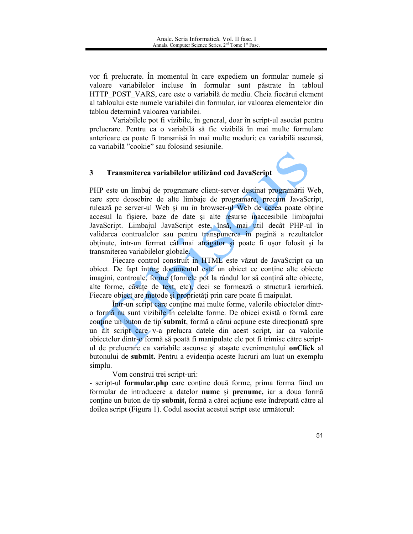vor fi prelucrate. În momentul în care expediem un formular numele si valoare variabilelor incluse în formular sunt păstrate în tabloul HTTP POST VARS, care este o variabilă de mediu. Cheia fiecărui element al tabloului este numele variabilei din formular, iar valoarea elementelor din tablou determină valoarea variabilei.

Variabilele pot fi vizibile, în general, doar în script-ul asociat pentru prelucrare. Pentru ca o variabilă să fie vizibilă în mai multe formulare anterioare ea poate fi transmisă în mai multe moduri: ca variabilă ascunsă, ca variabilă "cookie" sau folosind sesiunile.

#### Transmiterea variabilelor utilizând cod JavaScript  $3<sup>1</sup>$

PHP este un limbaj de programare client-server destinat programării Web. care spre deosebire de alte limbaje de programare, precum JavaScript, rulează pe server-ul Web și nu în browser-ul Web de aceea poate obține accesul la fisiere, baze de date si alte resurse inaccesibile limbajului JavaScript. Limbajul JavaScript este, însă, mai util decât PHP-ul în validarea controalelor sau pentru transpunerea în pagină a rezultatelor obținute, într-un format cât mai atrăgător și poate fi ușor folosit și la transmiterea variabilelor globale.

Fiecare control construit in HTML este văzut de JavaScript ca un object. De fapt întreg documentul este un object ce contine alte objecte imagini, controale, forme (formele pot la rândul lor să conțină alte obiecte, alte forme, căsuțe de text, etc), deci se formează o structură ierarhică. Fiecare object are metode și proprietăți prin care poate fi maipulat.

Într-un script care contine mai multe forme, valorile objectelor dintro formă nu sunt vizibile în celelalte forme. De obicei există o formă care contine un buton de tip submit, formă a cărui acțiune este direcționată spre un alt script care v-a prelucra datele din acest script, iar ca valorile obiectelor dintr-o formă să poată fi manipulate ele pot fi trimise către scriptul de prelucrare ca variabile ascunse și atașate evenimentului onClick al butonului de submit. Pentru a evidenția aceste lucruri am luat un exemplu simplu.

Vom construi trei script-uri:

- script-ul formular.php care contine două forme, prima forma fiind un formular de introducere a datelor nume și prenume, iar a doua formă contine un buton de tip submit, formă a cărei acțiune este îndreptată către al doilea script (Figura 1). Codul asociat acestui script este următorul: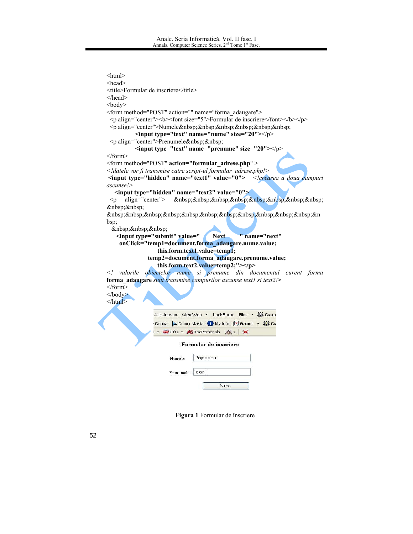```
\text{thm}<head>
Itle>Formular de inscriere</title>
</head>
<body>
<form method="POST" action="" name="forma_adaugare">
 \epsilon align="center"> \epsilonb> \epsilon font size="5" > Formular de inscriere \epsilon /font > \epsilon/b>\epsilon/p>
 palign="center">Numele      
         \leinput type="text" name="nume" size="20">\lt/p>
 p align="center">Prenumele  
         \leinput type="text" name="prenume" size="20"\ge\le/form>
\le form method="POST" action="formular_adrese.php" \ge<ldatele vor fi transmise catre script-ul formular_adrese.php!>
input type="hidden" name="text1" value="0"> \ \ \ \ \crearea a doua campuri
ascunse!>
   <input type="hidden" name="text2" value="0">
 p align="center">         
  
          &n
bsp;
   
   <input type="submit" value=" / Ne
                                    xt "name="next"
    onClick="temp1=document.forma_adaugare.nume.value;
                this.form.text1.value=temp1;
             temp2=document.forma_adaugare.prenume.value;
                this.form.text2.value=temp2;"></p>
<! valorile obiectelor nume si prenume din documentul curent forma
forma_adaugare sunt transmise campurilor ascunse text1 si text2!>
\le/form>
\langle \text{body} \rangle</html>
               Ask Jeeves AlltheWeb ▼ LookSmart Files ▼ 名字 Custo
               Central Cursor Mania My Info [Sames + 20 Cu
                - Walts - RedPersonals A - 8
                        Formular de inscriere
                    Numele
                            Popescu
                    Prenumele loan
                                    Next
```
Figura 1 Formular de înscriere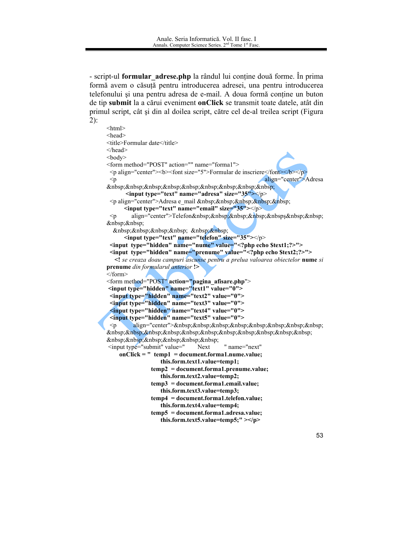- script-ul formular\_adrese.php la rândul lui conține două forme. În prima formă avem o căsuță pentru introducerea adresei, una pentru introducerea telefonului și una pentru adresa de e-mail. A doua formă conține un buton de tip submit la a cărui eveniment on Click se transmit toate datele, atât din primul script, cât și din al doilea script, către cel de-al treilea script (Figura  $2)$ :

```
\text{thm}<head>
<title>Formular date</title>
</head>
<body><form method="POST" action="" name="forma1">
\leq p align="center">\leq b>\leqfont size="5">Formular de inscriere\leq/font>\leq/b>\leq/p>
                                              align="center">Adresa
 < p         
     \leinput type="text" name="adresa" size="35">\lt/p>
 <p align="center">Adresa e mail &nbsp;&nbsp;&nbsp;&nbsp;&nbsp;
     \leinput type="text" name="email" size="35">\lt palign="center">Telefon    &nbsps  
 \mathsf{p}  
        
     <input type="text" name="telefon" size="35"></p>
 <input type="hidden" name="nume" value="<?php echo $text1;?>">
 <input type="hidden" name="prenume" value="<?php echo $text2;?>">
  <! se creaza doau campuri ascunse pentru a prelua valoarea obiectelor nume si
prenume din formularul anterior !>
<form>
<form method="POST" action="pagina_afisare.php">
<input type="hidden" name="text1" value="0">
 <input type="hidden" name="text2" value="0">
 <input type="hidden" name="text3" value="0">
 <input type="hidden" name="text4" value="0">
 <input type="hidden" name="text5" value="0">
 \leqn
       align="center">        
           
      
<input type="submit" value="
                                   " name="next"
                          Next
   onClick = " temp1 = document.forma1.nume.value:
                this.form.text1.value=temp1;
             temp2 = document.formatthis.form.text2.value=temp2;
             temp3 = document.format. email.value;this.form.text3.value=temp3;
             temp4 = document.format.telefon.value;this.form.text4.value=temp4;
             temp5 = document.format.addresa.value;this.form.text5.value=temp5;"></p>
```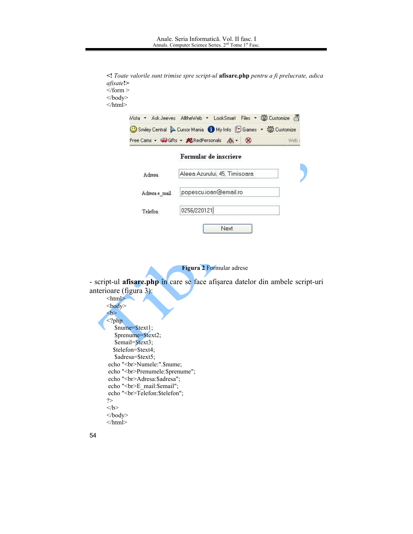```
<! Toate valorile sunt trimise spre script-ul afisare.php pentru a fi prelucrate, adica
afisate!>
\langleform >
\langle \text{body} \rangle</html>
         Wista • Ask Jeeves AlltheWeb • LookSmart Files • # Extomize 4
         ① Smiley Central ▶ Cursor Mania ● My Info 【9 Games ★ 報 Customize
         Free Cams - Gifts - KRedPersonals A - 8
                                                                       Web
                             Formular de inscriere
                            Aleea Azurului, 45, Timisoara
              Adresa
                             popescu.ioan@email.ro
              Adresa e_mail
                             0256/220121
              Telefon
                                             Next
```
### Figura 2 Formular adrese

- script-ul afisare.php în care se face afișarea datelor din ambele script-uri anterioare (figura 3):

```
\text{thm}

\langle?php
   $nume=$text1;
   $prenume=$text2;
   $email=$text3;
  $telefon=$text4;
   $adresa=$text5;
echo "<br>Numele:".$nume;
echo "<br/>br>Prenumele:$prenume";
echo "<br/>br>Adresa:$adresa";
echo "<br>E_mail:$email";
echo "<br>Telefon:$telefon";
?</b>
\langle \text{body} \rangle\langlehtml>
```